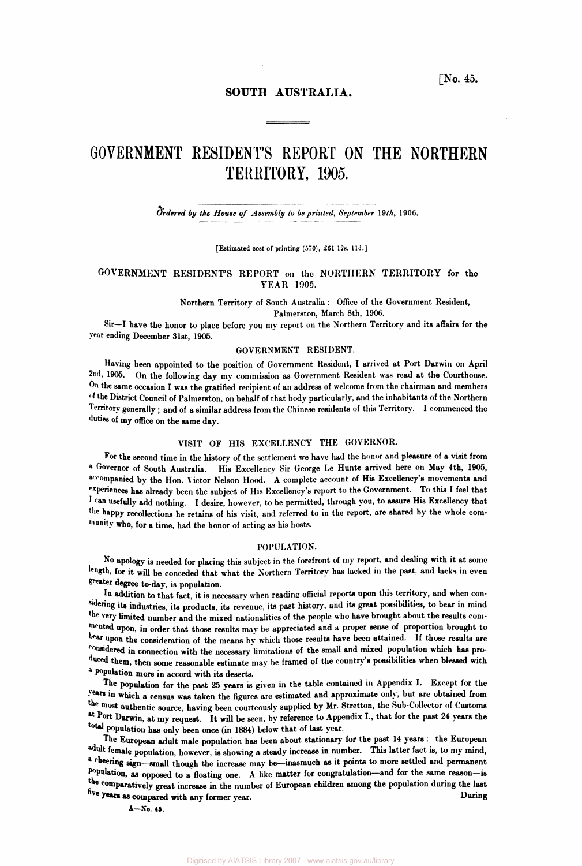# **SOUTH AUSTRALIA.**

# **GOVERNMENT RESIDENT'S REPORT ON THE NORTHERN TERRITORY, 1905.**

# *Ordered by the House of Assembly to be printed, September* **19th, 1906.**

[Estimated cost of printing (570), £61 12s. 11d.]

## **GOVERNMENT RESIDENT'S REPORT on the NORTHERN TERRITORY for the YEAR 1905.**

Northern Territory of South Australia : Office of the Government Resident, Palmerston, March 8th, 1906.

Sir—I have the honor to place before you my report on the Northern Territory and its affairs for the year ending December 31st, 1905.

## GOVERNMENT RESIDENT.

Having been appointed to the position of Government Resident, I arrived at Port Darwin on April **2nd,** 1905. On the following day my commission as Government Resident was read at the Courthouse. On the same occasion I was the gratified recipient of an address of welcome from the chairman and members of the District Council of Palmerston, on behalf of that body particularly, and the inhabitants of the Northern Territory generally ; and of a similar address from the Chinese residents of this Territory. I commenced the duties of my office on the same day.

# VISIT OF HIS EXCELLENCY THE GOVERNOR.

For the second time in the history of the settlement we have had the honor and pleasure of a visit from a Governor of South Australia. His Excellency Sir George Le Hunte arrived here on May 4th, 1905, accompanied by the Hon. Victor Nelson Hood. A complete account of His Excellency's movements and experiences has already been the subject of His Excellency's report to the Government. To this I feel that I can usefully add nothing. I desire, however, to be permitted, through you, to assure His Excellency that the happy recollections he retains of his visit, and referred to in the report, are shared by the whole community **who,** for a time, had the honor of acting as his hosts.

### POPULATION.

No apology is needed for placing this subject in the forefront of my report, and dealing with it at some length, for it will be conceded that what the Northern Territory has lacked in the past, and lacks in even greater degree to-day, is population.

In addition to that fact, it is necessary when reading official reports upon this territory, and when considering its industries, its products, its revenue, its past history, and its great possibilities, to bear in mind the very limited number and the mixed nationalities of the people who have brought about the results commented upon, in order that those results may be appreciated and a proper sense of proportion brought to bear upon the consideration of the means by which those results have been attained. If those results are considered in connection with the necessary limitations of the small and mixed population which has produced them, then some reasonable estimate may be framed of the country's possibilities when blessed with a Population more in accord with its deserts.

The population for the past 25 years is given in the table contained in Appendix I. Except for the years in which a census was taken the figures are estimated and approximate only, but are obtained from the most authentic source, having been courteously supplied by Mr. Stretton, the Sub-Collector of Customs at Port Darwin, at my request. It will be seen, by reference to Appendix L, that for the past 24 years the total population has only been once (in 1884) below that of last year.

The European adult male population has been about stationary for the past 14 years : the European adult female population, however, is showing a steady increase in number. This latter fact is, to my mind, <sup>a cheering</sup> sign—small though the increase may be—inasmuch as it points to more settled and permanent Population, as opposed to a floating one. A like matter for congratulation—and for the same reason—is the comparatively great increase in the number of European children among the population during the last<br>five years as compared with any former year. five years as compared with any former year.

A—No. 45.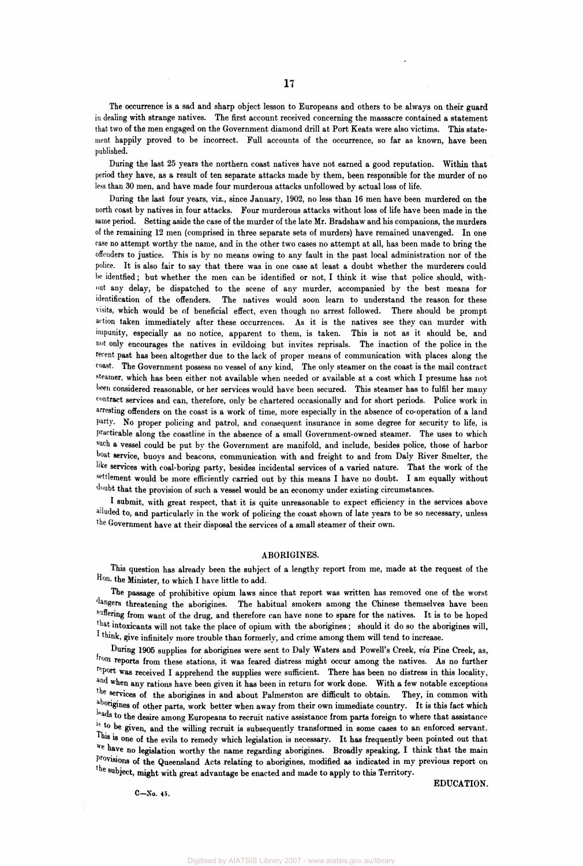**The occurrence is a sad and sharp object lesson to Europeans and others to be always on their guard in dealing with strange natives. The first account received concerning the massacre contained a statement that two of the men engaged on the Government diamond drill at Port Keats were also victims. This statement happily proved to be incorrect. Full accounts of the occurrence, so far as known, have been published.** 

**During the last 25 years the northern coast natives have not earned a good reputation. Within that period they have, as a result of ten separate attacks made by them, been responsible for the murder of no less than 30 men, and have made four murderous attacks unfollowed by actual loss of life.** 

**During the last four years, viz., since January, 1902, no less than 16 men have been murdered on the north coast by natives in four attacks. Four murderous attacks without loss of life have been made in the same period. Setting aside the case of the murder of the late Mr. Bradshaw and his companions, the murders of the remaining 12 men (comprised in three separate sets of murders) have remained unavenged. In one case no attempt worthy the name, and in the other two cases no attempt at all, has been made to bring the offenders to justice. This is by no means owing to any fault in the past local administration nor of the police. It is also fair to say that there was in one case at least a doubt whether the murderers could be identfied; but whether the men can be identified or not, I think it wise that police should, without any delay, be dispatched to the scene of any murder, accompanied by the best means for identification of the offenders. The natives would soon learn to understand the reason for these visits, which would be of beneficial effect, even though no arrest followed. There should be prompt action taken immediately after these occurrences. As it is the natives see they can murder with impunity, especially as no notice, apparent to them, is taken. This is not as it should be, and not only encourages the natives in evildoing but invites reprisals. The inaction of the police in the recent past has been altogether due to the lack of proper means of communication with places along the coast. The Government possess no vessel of any kind, The only steamer on the coast is the mail contract steamer, which has been either not available when needed or available at a cost which I presume has not been considered reasonable, or her services would have been secured. This steamer has to fulfil her many contract services and can, therefore, only be chartered occasionally and for short periods. Police work in arresting offenders on the coast is a work of time, more especially in the absence of co-operation of a land party. No proper policing and patrol, and consequent insurance in some degree for security to life, is practicable along the coastline in the absence of a small Government-owned steamer. The uses to which such a vessel could be put by the Government are manifold, and include, besides police, those of harbor boat service, buoys and beacons, communication with and freight to and from Daly River Smelter, the like services with coal-boring party, besides incidental services of a varied nature. That the work of the settlement would be more efficiently carried out by this means I have no doubt. I am equally without doubt that the provision of such a vessel would be an economy under existing circumstances.** 

**I submit, with great respect, that it is quite unreasonable to expect efficiency in the services above ailuded to, and particularly in the work of policing the coast shown of late years to be so necessary, unless the Government have at their disposal the services of a small steamer of their own.** 

## **ABORIGINES.**

**This question has already been the subject of a lengthy report from me, made at the request of the Hon. the Minister, to which I have little to add.** 

**The passage of prohibitive opium laws since that report was written has removed one of the worst dangers threatening the aborigines. The habitual smokers among the Chinese themselves have been suffering from want of the drug, and therefore can have none to spare for the natives. It is to be hoped that intoxicants will not take the place of opium with the aborigines; should it do so the aborigines will, I think, give infinitelv more trouble than formerly, and crime among them will tend to increase.** 

**During 1905 supplies for aborigines were sent to Daly Waters and Powell's Creek,** *via* **Pine Creek, as<sup>r</sup> from reports from these stations, it was feared distress might occur among the natives. As no further report was received I apprehend the supplies were sufficient. There has been no distress in this locality, and when any rations have been given it has been in return for work done. With a few notable exceptions the services of the aborigines in and about Palmerston are difficult to obtain. They, in common with aborigines of other parts, work better when away from their own immediate country. It is this fact which leads to the desire among Europeans to recruit native assistance from parts foreign to where that assistance**  <sup>18</sup> <sup>to</sup> be given, and the willing recruit is subsequently transformed in some cases to an enforced servant. This is one of the evils to remedy which legislation is necessary. It has frequently been pointed out that **We have no legislation worthy the name regarding aborigines. Broadly speaking, I think that the main provisions of the Queensland Acts relating to aborigines, modified as indicated in my previous report on The subject, might with great advantage be enacted and made to apply to this Territory.** 

**C-No. 45.** 

**EDUCATION.**